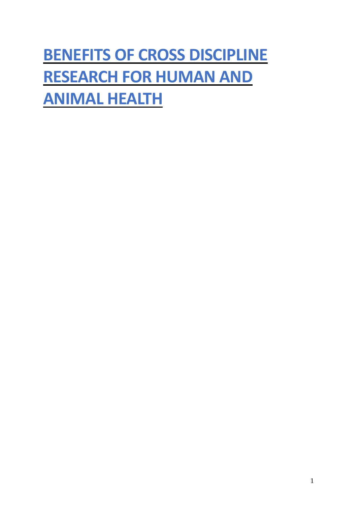# **BENEFITS OF CROSS DISCIPLINE RESEARCH FOR HUMAN AND ANIMAL HEALTH**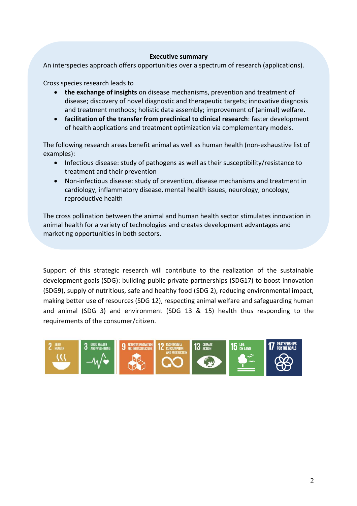#### **Executive summary**

An interspecies approach offers opportunities over a spectrum of research (applications).

Cross species research leads to

- **the exchange of insights** on disease mechanisms, prevention and treatment of disease; discovery of novel diagnostic and therapeutic targets; innovative diagnosis and treatment methods; holistic data assembly; improvement of (animal) welfare.
- **facilitation of the transfer from preclinical to clinical research**: faster development of health applications and treatment optimization via complementary models.

The following research areas benefit animal as well as human health (non-exhaustive list of examples):

- Infectious disease: study of pathogens as well as their susceptibility/resistance to treatment and their prevention
- Non-infectious disease: study of prevention, disease mechanisms and treatment in cardiology, inflammatory disease, mental health issues, neurology, oncology, reproductive health

The cross pollination between the animal and human health sector stimulates innovation in animal health for a variety of technologies and creates development advantages and marketing opportunities in both sectors.

Support of this strategic research will contribute to the realization of the sustainable development goals (SDG): building public-private-partnerships (SDG17) to boost innovation (SDG9), supply of nutritious, safe and healthy food (SDG 2), reducing environmental impact, making better use of resources (SDG 12), respecting animal welfare and safeguarding human and animal (SDG 3) and environment (SDG 13 & 15) health thus responding to the requirements of the consumer/citizen.

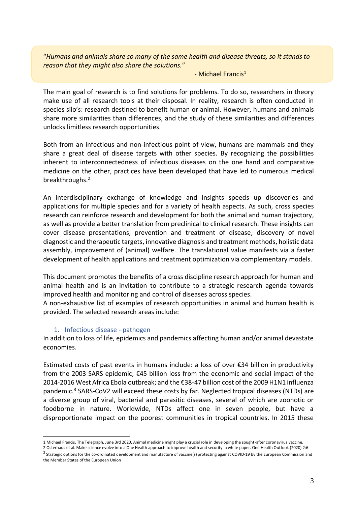"*Humans and animals share so many of the same health and disease threats, so it stands to reason that they might also share the solutions.*"

#### - Michael Francis<sup>1</sup>

The main goal of research is to find solutions for problems. To do so, researchers in theory make use of all research tools at their disposal. In reality, research is often conducted in species silo's: research destined to benefit human or animal. However, humans and animals share more similarities than differences, and the study of these similarities and differences unlocks limitless research opportunities.

Both from an infectious and non-infectious point of view, humans are mammals and they share a great deal of disease targets with other species. By recognizing the possibilities inherent to interconnectedness of infectious diseases on the one hand and comparative medicine on the other, practices have been developed that have led to numerous medical breakthroughs. 2

An interdisciplinary exchange of knowledge and insights speeds up discoveries and applications for multiple species and for a variety of health aspects. As such, cross species research can reinforce research and development for both the animal and human trajectory, as well as provide a better translation from preclinical to clinical research. These insights can cover disease presentations, prevention and treatment of disease, discovery of novel diagnostic and therapeutic targets, innovative diagnosis and treatment methods, holistic data assembly, improvement of (animal) welfare. The translational value manifests via a faster development of health applications and treatment optimization via complementary models.

This document promotes the benefits of a cross discipline research approach for human and animal health and is an invitation to contribute to a strategic research agenda towards improved health and monitoring and control of diseases across species.

A non-exhaustive list of examples of research opportunities in animal and human health is provided. The selected research areas include:

#### 1. Infectious disease - pathogen

In addition to loss of life, epidemics and pandemics affecting human and/or animal devastate economies.

Estimated costs of past events in humans include: a loss of over €34 billion in productivity from the 2003 SARS epidemic; €45 billion loss from the economic and social impact of the 2014-2016 West Africa Ebola outbreak; and the €38-47 billion cost of the 2009 H1N1 influenza pandemic.<sup>3</sup> SARS-CoV2 will exceed these costs by far. Neglected tropical diseases (NTDs) are a diverse group of viral, bacterial and parasitic diseases, several of which are zoonotic or foodborne in nature. Worldwide, NTDs affect one in seven people, but have a disproportionate impact on the poorest communities in tropical countries. In 2015 these

<sup>1</sup> Michael Francis, The Telegraph, June 3rd 2020, Animal medicine might play a crucial role in developing the sought-after coronavirus vaccine.

<sup>2</sup> Osterhaus et al. Make science evolve into a One Health approach to improve health and security: a white paper. One Health Outlook (2020) 2:6  $^3$  Strategic options for the co-ordinated development and manufacture of vaccine(s) protecting against COVID-19 by the European Commission and

the Member States of the European Union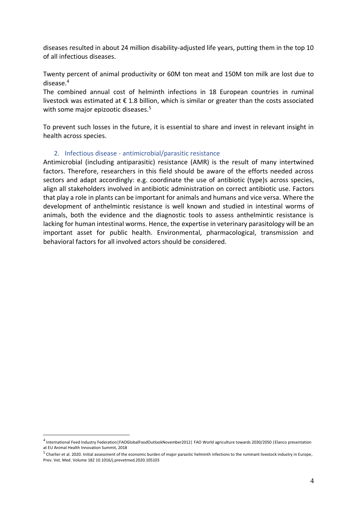diseases resulted in about 24 million disability-adjusted life years, putting them in the top 10 of all infectious diseases.

Twenty percent of animal productivity or 60M ton meat and 150M ton milk are lost due to disease.<sup>4</sup>

The combined annual cost of helminth infections in 18 European countries in ruminal livestock was estimated at  $\epsilon$  1.8 billion, which is similar or greater than the costs associated with some major epizootic diseases.<sup>5</sup>

To prevent such losses in the future, it is essential to share and invest in relevant insight in health across species.

## 2. Infectious disease - antimicrobial/parasitic resistance

Antimicrobial (including antiparasitic) resistance (AMR) is the result of many intertwined factors. Therefore, researchers in this field should be aware of the efforts needed across sectors and adapt accordingly: e.g. coordinate the use of antibiotic (type)s across species, align all stakeholders involved in antibiotic administration on correct antibiotic use. Factors that play a role in plants can be important for animals and humans and vice versa. Where the development of anthelmintic resistance is well known and studied in intestinal worms of animals, both the evidence and the diagnostic tools to assess anthelmintic resistance is lacking for human intestinal worms. Hence, the expertise in veterinary parasitology will be an important asset for public health. Environmental, pharmacological, transmission and behavioral factors for all involved actors should be considered.

<sup>&</sup>lt;sup>4</sup> International Feed Industry Federation | FAOGlobalFoodOutlookNovember2012 | FAO World agriculture towards 2030/2050 | Elanco presentation at EU Animal Health Innovation Summit, 2018

 $^5$  Charlier et al. 2020. Initial assessment of the economic burden of major parasitic helminth infections to the ruminant livestock industry in Europe, Prev. Vet. Med. Volume 182 10.1016/j.prevetmed.2020.105103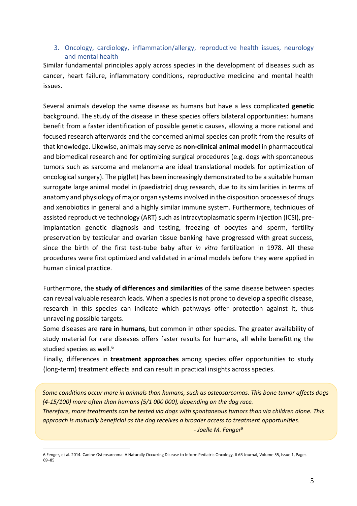## 3. Oncology, cardiology, inflammation/allergy, reproductive health issues, neurology and mental health

Similar fundamental principles apply across species in the development of diseases such as cancer, heart failure, inflammatory conditions, reproductive medicine and mental health issues.

Several animals develop the same disease as humans but have a less complicated **genetic** background. The study of the disease in these species offers bilateral opportunities: humans benefit from a faster identification of possible genetic causes, allowing a more rational and focused research afterwards and the concerned animal species can profit from the results of that knowledge. Likewise, animals may serve as **non-clinical animal model** in pharmaceutical and biomedical research and for optimizing surgical procedures (e.g. dogs with spontaneous tumors such as sarcoma and melanoma are ideal translational models for optimization of oncological surgery). The pig(let) has been increasingly demonstrated to be a suitable human surrogate large animal model in (paediatric) drug research, due to its similarities in terms of anatomy and physiology of major organ systems involved in the disposition processes of drugs and xenobiotics in general and a highly similar immune system. Furthermore, techniques of assisted reproductive technology (ART) such as intracytoplasmatic sperm injection (ICSI), preimplantation genetic diagnosis and testing, freezing of oocytes and sperm, fertility preservation by testicular and ovarian tissue banking have progressed with great success, since the birth of the first test-tube baby after *in vitro* fertilization in 1978. All these procedures were first optimized and validated in animal models before they were applied in human clinical practice.

Furthermore, the **study of differences and similarities** of the same disease between species can reveal valuable research leads. When a species is not prone to develop a specific disease, research in this species can indicate which pathways offer protection against it, thus unraveling possible targets.

Some diseases are **rare in humans**, but common in other species. The greater availability of study material for rare diseases offers faster results for humans, all while benefitting the studied species as well.<sup>6</sup>

Finally, differences in **treatment approaches** among species offer opportunities to study (long-term) treatment effects and can result in practical insights across species.

*Some conditions occur more in animals than humans, such as osteosarcomas. This bone tumor affects dogs (4-15/100) more often than humans (5/1 000 000), depending on the dog race. Therefore, more treatments can be tested via dogs with spontaneous tumors than via children alone. This approach is mutually beneficial as the dog receives a broader access to treatment opportunities. - Joelle M. Fenger<sup>9</sup>*

<sup>6</sup> Fenger, et al. 2014. Canine Osteosarcoma: A Naturally Occurring Disease to Inform Pediatric Oncology, ILAR Journal, Volume 55, Issue 1, Pages 69–85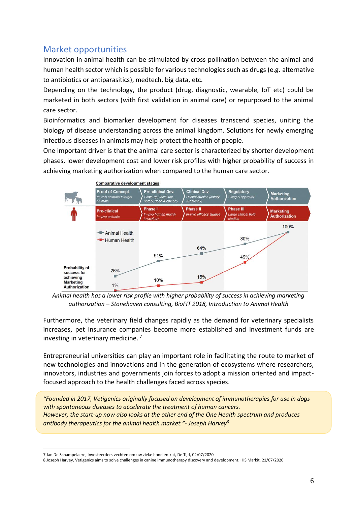# Market opportunities

Innovation in animal health can be stimulated by cross pollination between the animal and human health sector which is possible for various technologies such as drugs (e.g. alternative to antibiotics or antiparasitics), medtech, big data, etc.

Depending on the technology, the product (drug, diagnostic, wearable, IoT etc) could be marketed in both sectors (with first validation in animal care) or repurposed to the animal care sector.

Bioinformatics and biomarker development for diseases transcend species, uniting the biology of disease understanding across the animal kingdom. Solutions for newly emerging infectious diseases in animals may help protect the health of people.

One important driver is that the animal care sector is characterized by shorter development phases, lower development cost and lower risk profiles with higher probability of success in achieving marketing authorization when compared to the human care sector.



*Animal health has a lower risk profile with higher probability of success in achieving marketing authorization – Stonehaven consulting, BioFIT 2018, Introduction to Animal Health*

Furthermore, the veterinary field changes rapidly as the demand for veterinary specialists increases, pet insurance companies become more established and investment funds are investing in veterinary medicine. <sup>7</sup>

Entrepreneurial universities can play an important role in facilitating the route to market of new technologies and innovations and in the generation of ecosystems where researchers, innovators, industries and governments join forces to adopt a mission oriented and impactfocused approach to the health challenges faced across species.

*"Founded in 2017, Vetigenics originally focused on development of immunotherapies for use in dogs with spontaneous diseases to accelerate the treatment of human cancers. However, the start-up now also looks at the other end of the One Health spectrum and produces antibody therapeutics for the animal health market."- Joseph Harvey*<sup>8</sup>

<sup>7</sup> Jan De Schampelaere, Investeerders vechten om uw zieke hond en kat, De Tijd, 02/07/2020

<sup>8</sup> Joseph Harvey, Vetigenics aims to solve challenges in canine immunotherapy discovery and development, IHS Markit, 21/07/2020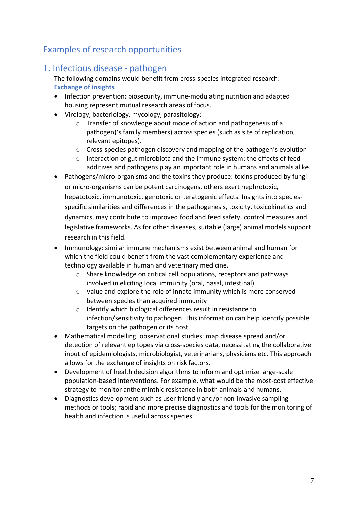# Examples of research opportunities

# 1. Infectious disease - pathogen

The following domains would benefit from cross-species integrated research: **Exchange of insights**

- Infection prevention: biosecurity, immune-modulating nutrition and adapted housing represent mutual research areas of focus.
- Virology, bacteriology, mycology, parasitology:
	- o Transfer of knowledge about mode of action and pathogenesis of a pathogen('s family members) across species (such as site of replication, relevant epitopes).
	- $\circ$  Cross-species pathogen discovery and mapping of the pathogen's evolution
	- o Interaction of gut microbiota and the immune system: the effects of feed additives and pathogens play an important role in humans and animals alike.
- Pathogens/micro-organisms and the toxins they produce: toxins produced by fungi or micro-organisms can be potent carcinogens, others exert nephrotoxic, hepatotoxic, immunotoxic, genotoxic or teratogenic effects. Insights into speciesspecific similarities and differences in the pathogenesis, toxicity, toxicokinetics and  $$ dynamics, may contribute to improved food and feed safety, control measures and legislative frameworks. As for other diseases, suitable (large) animal models support research in this field.
- Immunology: similar immune mechanisms exist between animal and human for which the field could benefit from the vast complementary experience and technology available in human and veterinary medicine.
	- o Share knowledge on critical cell populations, receptors and pathways involved in eliciting local immunity (oral, nasal, intestinal)
	- o Value and explore the role of innate immunity which is more conserved between species than acquired immunity
	- o Identify which biological differences result in resistance to infection/sensitivity to pathogen. This information can help identify possible targets on the pathogen or its host.
- Mathematical modelling, observational studies: map disease spread and/or detection of relevant epitopes via cross-species data, necessitating the collaborative input of epidemiologists, microbiologist, veterinarians, physicians etc. This approach allows for the exchange of insights on risk factors.
- Development of health decision algorithms to inform and optimize large-scale population-based interventions. For example, what would be the most-cost effective strategy to monitor anthelminthic resistance in both animals and humans.
- Diagnostics development such as user friendly and/or non-invasive sampling methods or tools; rapid and more precise diagnostics and tools for the monitoring of health and infection is useful across species.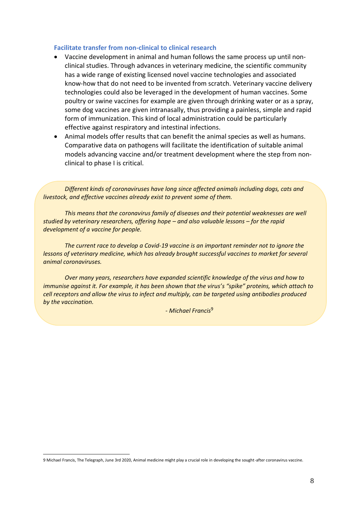#### **Facilitate transfer from non-clinical to clinical research**

- Vaccine development in animal and human follows the same process up until nonclinical studies. Through advances in veterinary medicine, the scientific community has a wide range of existing licensed novel vaccine technologies and associated know-how that do not need to be invented from scratch. Veterinary vaccine delivery technologies could also be leveraged in the development of human vaccines. Some poultry or swine vaccines for example are given through drinking water or as a spray, some dog vaccines are given intranasally, thus providing a painless, simple and rapid form of immunization. This kind of local administration could be particularly effective against respiratory and intestinal infections.
- Animal models offer results that can benefit the animal species as well as humans. Comparative data on pathogens will facilitate the identification of suitable animal models advancing vaccine and/or treatment development where the step from nonclinical to phase I is critical.

*Different kinds of coronaviruses have long since affected animals including dogs, cats and livestock, and effective vaccines already exist to prevent some of them.*

*This means that the coronavirus family of diseases and their potential weaknesses are well studied by veterinary researchers, offering hope – and also valuable lessons – for the rapid development of a vaccine for people.*

*The current race to develop a Covid-19 vaccine is an important reminder not to ignore the lessons of veterinary medicine, which has already brought successful vaccines to market for several animal coronaviruses.*

*Over many years, researchers have expanded scientific knowledge of the virus and how to immunise against it. For example, it has been shown that the virus's "spike" proteins, which attach to cell receptors and allow the virus to infect and multiply, can be targeted using antibodies produced by the vaccination.*

*- Michael Francis*<sup>9</sup>

<sup>9</sup> Michael Francis, The Telegraph, June 3rd 2020, Animal medicine might play a crucial role in developing the sought-after coronavirus vaccine.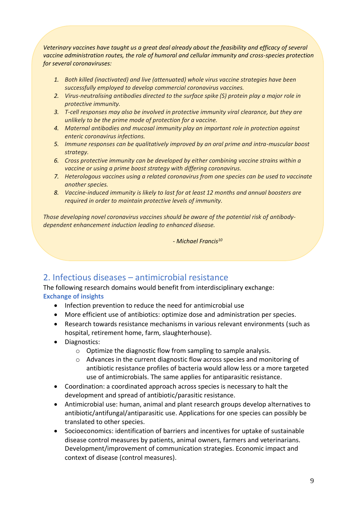*Veterinary vaccines have taught us a great deal already about the feasibility and efficacy of several vaccine administration routes, the role of humoral and cellular immunity and cross-species protection for several coronaviruses:* 

- *1. Both killed (inactivated) and live (attenuated) whole virus vaccine strategies have been successfully employed to develop commercial coronavirus vaccines.*
- *2. Virus-neutralising antibodies directed to the surface spike (S) protein play a major role in protective immunity.*
- *3. T-cell responses may also be involved in protective immunity viral clearance, but they are unlikely to be the prime mode of protection for a vaccine.*
- *4. Maternal antibodies and mucosal immunity play an important role in protection against enteric coronavirus infections.*
- *5. Immune responses can be qualitatively improved by an oral prime and intra-muscular boost strategy.*
- *6. Cross protective immunity can be developed by either combining vaccine strains within a vaccine or using a prime boost strategy with differing coronavirus.*
- *7. Heterologous vaccines using a related coronavirus from one species can be used to vaccinate another species.*
- *8. Vaccine-induced immunity is likely to last for at least 12 months and annual boosters are required in order to maintain protective levels of immunity.*

*Those developing novel coronavirus vaccines should be aware of the potential risk of antibodydependent enhancement induction leading to enhanced disease.*

*- Michael Francis<sup>10</sup>*

## 2. Infectious diseases – antimicrobial resistance

The following research domains would benefit from interdisciplinary exchange: **Exchange of insights**

- Infection prevention to reduce the need for antimicrobial use
- More efficient use of antibiotics: optimize dose and administration per species.
- Research towards resistance mechanisms in various relevant environments (such as hospital, retirement home, farm, slaughterhouse).
- Diagnostics:
	- o Optimize the diagnostic flow from sampling to sample analysis.
	- o Advances in the current diagnostic flow across species and monitoring of antibiotic resistance profiles of bacteria would allow less or a more targeted use of antimicrobials. The same applies for antiparasitic resistance.
- Coordination: a coordinated approach across species is necessary to halt the development and spread of antibiotic/parasitic resistance.
- Antimicrobial use: human, animal and plant research groups develop alternatives to antibiotic/antifungal/antiparasitic use. Applications for one species can possibly be translated to other species.
- Socioeconomics: identification of barriers and incentives for uptake of sustainable disease control measures by patients, animal owners, farmers and veterinarians. Development/improvement of communication strategies. Economic impact and context of disease (control measures).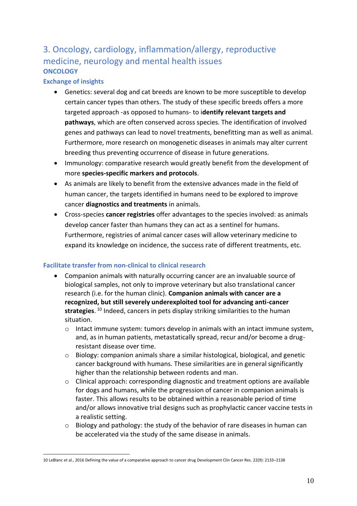# 3. Oncology, cardiology, inflammation/allergy, reproductive medicine, neurology and mental health issues **ONCOLOGY**

## **Exchange of insights**

- Genetics: several dog and cat breeds are known to be more susceptible to develop certain cancer types than others. The study of these specific breeds offers a more targeted approach -as opposed to humans- to i**dentify relevant targets and pathways**, which are often conserved across species. The identification of involved genes and pathways can lead to novel treatments, benefitting man as well as animal. Furthermore, more research on monogenetic diseases in animals may alter current breeding thus preventing occurrence of disease in future generations.
- Immunology: comparative research would greatly benefit from the development of more **species-specific markers and protocols**.
- As animals are likely to benefit from the extensive advances made in the field of human cancer, the targets identified in humans need to be explored to improve cancer **diagnostics and treatments** in animals.
- Cross-species **cancer registries** offer advantages to the species involved: as animals develop cancer faster than humans they can act as a sentinel for humans. Furthermore, registries of animal cancer cases will allow veterinary medicine to expand its knowledge on incidence, the success rate of different treatments, etc.

## **Facilitate transfer from non-clinical to clinical research**

- Companion animals with naturally occurring cancer are an invaluable source of biological samples, not only to improve veterinary but also translational cancer research (i.e. for the human clinic). **Companion animals with cancer are a recognized, but still severely underexploited tool for advancing anti-cancer strategies**. <sup>10</sup> Indeed, cancers in pets display striking similarities to the human situation.
	- $\circ$  Intact immune system: tumors develop in animals with an intact immune system, and, as in human patients, metastatically spread, recur and/or become a drugresistant disease over time.
	- o Biology: companion animals share a similar histological, biological, and genetic cancer background with humans. These similarities are in general significantly higher than the relationship between rodents and man.
	- o Clinical approach: corresponding diagnostic and treatment options are available for dogs and humans, while the progression of cancer in companion animals is faster. This allows results to be obtained within a reasonable period of time and/or allows innovative trial designs such as prophylactic cancer vaccine tests in a realistic setting.
	- o Biology and pathology: the study of the behavior of rare diseases in human can be accelerated via the study of the same disease in animals.

<sup>10</sup> LeBlanc et al., 2016 Defining the value of a comparative approach to cancer drug Development Clin Cancer Res. 22(9): 2133–2138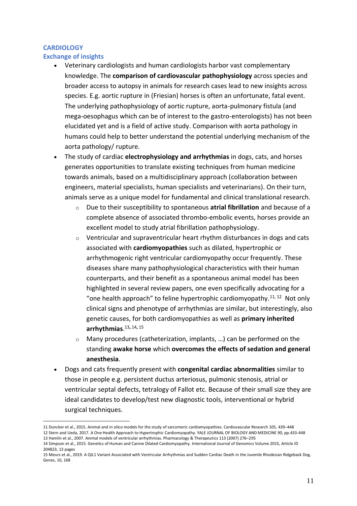## **CARDIOLOGY**

## **Exchange of insights**

- Veterinary cardiologists and human cardiologists harbor vast complementary knowledge. The **comparison of cardiovascular pathophysiology** across species and broader access to autopsy in animals for research cases lead to new insights across species. E.g. aortic rupture in (Friesian) horses is often an unfortunate, fatal event. The underlying pathophysiology of aortic rupture, aorta-pulmonary fistula (and mega-oesophagus which can be of interest to the gastro-enterologists) has not been elucidated yet and is a field of active study. Comparison with aorta pathology in humans could help to better understand the potential underlying mechanism of the aorta pathology/ rupture.
- The study of cardiac **electrophysiology and arrhythmias** in dogs, cats, and horses generates opportunities to translate existing techniques from human medicine towards animals, based on a multidisciplinary approach (collaboration between engineers, material specialists, human specialists and veterinarians). On their turn, animals serve as a unique model for fundamental and clinical translational research.
	- o Due to their susceptibility to spontaneous **atrial fibrillation** and because of a complete absence of associated thrombo-embolic events, horses provide an excellent model to study atrial fibrillation pathophysiology.
	- $\circ$  Ventricular and supraventricular heart rhythm disturbances in dogs and cats associated with **cardiomyopathies** such as dilated, hypertrophic or arrhythmogenic right ventricular cardiomyopathy occur frequently. These diseases share many pathophysiological characteristics with their human counterparts, and their benefit as a spontaneous animal model has been highlighted in several review papers, one even specifically advocating for a "one health approach" to feline hypertrophic cardiomyopathy. $11, 12$  Not only clinical signs and phenotype of arrhythmias are similar, but interestingly, also genetic causes, for both cardiomyopathies as well as **primary inherited arrhythmias**. 13**,** 14**,** 15
	- o Many procedures (catheterization, implants, …) can be performed on the standing **awake horse** which **overcomes the effects of sedation and general anesthesia**.
- Dogs and cats frequently present with **congenital cardiac abnormalities** similar to those in people e.g. persistent ductus arteriosus, pulmonic stenosis, atrial or ventricular septal defects, tetralogy of Fallot etc. Because of their small size they are ideal candidates to develop/test new diagnostic tools, interventional or hybrid surgical techniques.

<sup>11</sup> Duncker et al., 2015. Animal and in silico models for the study of sarcomeric cardiomyopathies. Cardiovascular Research 105, 439–448 12 Stern and Ueda, 2017. A One Health Approach to Hypertrophic Cardiomyopathy. YALE JOURNAL OF BIOLOGY AND MEDICINE 90, pp.433-448 13 Hamlin et al., 2007. Animal models of ventricular arrhythmias. Pharmacology & Therapeutics 113 (2007) 276–295

<sup>14</sup> Simpson et al., 2015. Genetics of Human and Canine Dilated Cardiomyopathy. International Journal of Genomics Volume 2015, Article ID 204823, 13 pages

<sup>15</sup> Meurs et al., 2019. A QIL1 Variant Associated with Ventricular Arrhythmias and Sudden Cardiac Death in the Juvenile Rhodesian Ridgeback Dog. Genes, 10, 168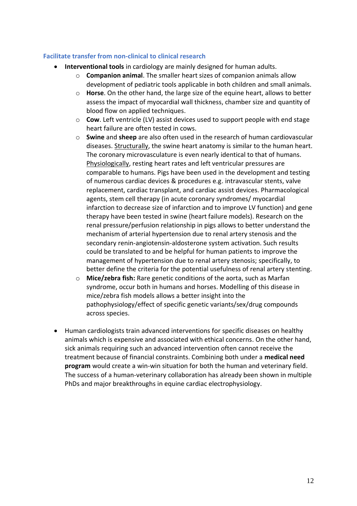#### **Facilitate transfer from non-clinical to clinical research**

- **Interventional tools** in cardiology are mainly designed for human adults.
	- o **Companion animal**. The smaller heart sizes of companion animals allow development of pediatric tools applicable in both children and small animals.
	- o **Horse**. On the other hand, the large size of the equine heart, allows to better assess the impact of myocardial wall thickness, chamber size and quantity of blood flow on applied techniques.
	- o **Cow**. Left ventricle (LV) assist devices used to support people with end stage heart failure are often tested in cows.
	- o **Swine** and **sheep** are also often used in the research of human cardiovascular diseases. Structurally, the swine heart anatomy is similar to the human heart. The coronary microvasculature is even nearly identical to that of humans. Physiologically, resting heart rates and left ventricular pressures are comparable to humans. Pigs have been used in the development and testing of numerous cardiac devices & procedures e.g. intravascular stents, valve replacement, cardiac transplant, and cardiac assist devices. Pharmacological agents, stem cell therapy (in acute coronary syndromes/ myocardial infarction to decrease size of infarction and to improve LV function) and gene therapy have been tested in swine (heart failure models). Research on the renal pressure/perfusion relationship in pigs allows to better understand the mechanism of arterial hypertension due to renal artery stenosis and the secondary renin-angiotensin-aldosterone system activation. Such results could be translated to and be helpful for human patients to improve the management of hypertension due to renal artery stenosis; specifically, to better define the criteria for the potential usefulness of renal artery stenting.
	- o **Mice/zebra fish:** Rare genetic conditions of the aorta, such as Marfan syndrome, occur both in humans and horses. Modelling of this disease in mice/zebra fish models allows a better insight into the pathophysiology/effect of specific genetic variants/sex/drug compounds across species.
- Human cardiologists train advanced interventions for specific diseases on healthy animals which is expensive and associated with ethical concerns. On the other hand, sick animals requiring such an advanced intervention often cannot receive the treatment because of financial constraints. Combining both under a **medical need program** would create a win-win situation for both the human and veterinary field. The success of a human-veterinary collaboration has already been shown in multiple PhDs and major breakthroughs in equine cardiac electrophysiology.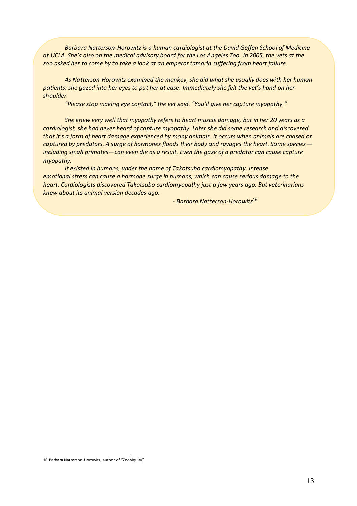*Barbara Natterson-Horowitz is a human cardiologist at the David Geffen School of Medicine at UCLA. She's also on the medical advisory board for the Los Angeles Zoo. In 2005, the vets at the zoo asked her to come by to take a look at an emperor tamarin suffering from heart failure.*

*As Natterson-Horowitz examined the monkey, she did what she usually does with her human patients: she gazed into her eyes to put her at ease. Immediately she felt the vet's hand on her shoulder.*

*"Please stop making eye contact," the vet said. "You'll give her capture myopathy."*

*She knew very well that myopathy refers to heart muscle damage, but in her 20 years as a cardiologist, she had never heard of capture myopathy. Later she did some research and discovered that it's a form of heart damage experienced by many animals. It occurs when animals are chased or captured by predators. A surge of hormones floods their body and ravages the heart. Some species including small primates—can even die as a result. Even the gaze of a predator can cause capture myopathy.*

*It existed in humans, under the name of Takotsubo cardiomyopathy. Intense emotional stress can cause a hormone surge in humans, which can cause serious damage to the heart. Cardiologists discovered Takotsubo cardiomyopathy just a few years ago. But veterinarians knew about its animal version decades ago.*

*- Barbara Natterson-Horowitz*<sup>16</sup>

<sup>16</sup> Barbara Natterson-Horowitz, author of "Zoobiquity"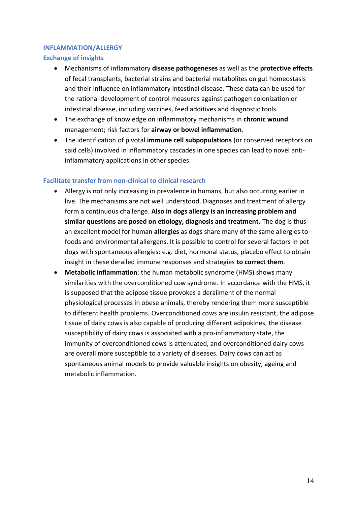#### **INFLAMMATION/ALLERGY**

#### **Exchange of insights**

- Mechanisms of inflammatory **disease pathogeneses** as well as the **protective effects** of fecal transplants, bacterial strains and bacterial metabolites on gut homeostasis and their influence on inflammatory intestinal disease. These data can be used for the rational development of control measures against pathogen colonization or intestinal disease, including vaccines, feed additives and diagnostic tools.
- The exchange of knowledge on inflammatory mechanisms in **chronic wound** management; risk factors for **airway or bowel inflammation**.
- The identification of pivotal **immune cell subpopulations** (or conserved receptors on said cells) involved in inflammatory cascades in one species can lead to novel antiinflammatory applications in other species.

## **Facilitate transfer from non-clinical to clinical research**

- Allergy is not only increasing in prevalence in humans, but also occurring earlier in live. The mechanisms are not well understood. Diagnoses and treatment of allergy form a continuous challenge. **Also in dogs allergy is an increasing problem and similar questions are posed on etiology, diagnosis and treatment.** The dog is thus an excellent model for human **allergies** as dogs share many of the same allergies to foods and environmental allergens. It is possible to control for several factors in pet dogs with spontaneous allergies: e.g. diet, hormonal status, placebo effect to obtain insight in these derailed immune responses and strategies **to correct them**.
- **Metabolic inflammation**: the human metabolic syndrome (HMS) shows many similarities with the overconditioned cow syndrome. In accordance with the HMS, it is supposed that the adipose tissue provokes a derailment of the normal physiological processes in obese animals, thereby rendering them more susceptible to different health problems. Overconditioned cows are insulin resistant, the adipose tissue of dairy cows is also capable of producing different adipokines, the disease susceptibility of dairy cows is associated with a pro-inflammatory state, the immunity of overconditioned cows is attenuated, and overconditioned dairy cows are overall more susceptible to a variety of diseases. Dairy cows can act as spontaneous animal models to provide valuable insights on obesity, ageing and metabolic inflammation.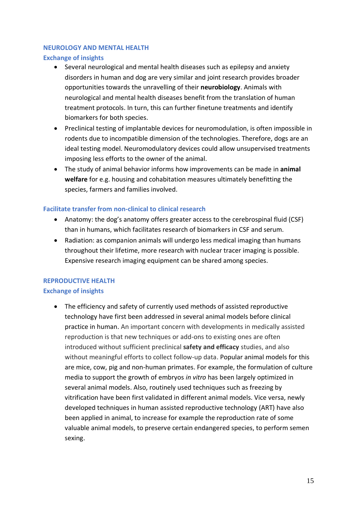#### **NEUROLOGY AND MENTAL HEALTH**

#### **Exchange of insights**

- Several neurological and mental health diseases such as epilepsy and anxiety disorders in human and dog are very similar and joint research provides broader opportunities towards the unravelling of their **neurobiology**. Animals with neurological and mental health diseases benefit from the translation of human treatment protocols. In turn, this can further finetune treatments and identify biomarkers for both species.
- Preclinical testing of implantable devices for neuromodulation, is often impossible in rodents due to incompatible dimension of the technologies. Therefore, dogs are an ideal testing model. Neuromodulatory devices could allow unsupervised treatments imposing less efforts to the owner of the animal.
- The study of animal behavior informs how improvements can be made in **animal welfare** for e.g. housing and cohabitation measures ultimately benefitting the species, farmers and families involved.

## **Facilitate transfer from non-clinical to clinical research**

- Anatomy: the dog's anatomy offers greater access to the cerebrospinal fluid (CSF) than in humans, which facilitates research of biomarkers in CSF and serum.
- Radiation: as companion animals will undergo less medical imaging than humans throughout their lifetime, more research with nuclear tracer imaging is possible. Expensive research imaging equipment can be shared among species.

## **REPRODUCTIVE HEALTH**

## **Exchange of insights**

• The efficiency and safety of currently used methods of assisted reproductive technology have first been addressed in several animal models before clinical practice in human. An important concern with developments in medically assisted reproduction is that new techniques or add-ons to existing ones are often introduced without sufficient preclinical **safety and efficacy** studies, and also without meaningful efforts to collect follow-up data. Popular animal models for this are mice, cow, pig and non-human primates. For example, the formulation of culture media to support the growth of embryos *in vitro* has been largely optimized in several animal models. Also, routinely used techniques such as freezing by vitrification have been first validated in different animal models. Vice versa, newly developed techniques in human assisted reproductive technology (ART) have also been applied in animal, to increase for example the reproduction rate of some valuable animal models, to preserve certain endangered species, to perform semen sexing.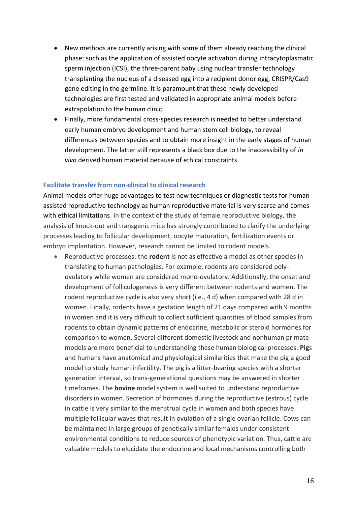- New methods are currently arising with some of them already reaching the clinical phase: such as the application of assisted oocyte activation during intracytoplasmatic sperm injection (ICSI), the three-parent baby using nuclear transfer technology transplanting the nucleus of a diseased egg into a recipient donor egg, CRISPR/Cas9 gene editing in the germline. It is paramount that these newly developed technologies are first tested and validated in appropriate animal models before extrapolation to the human clinic.
- Finally, more fundamental cross-species research is needed to better understand early human embryo development and human stem cell biology, to reveal differences between species and to obtain more insight in the early stages of human development. The latter still represents a black box due to the inaccessibility of *in vivo* derived human material because of ethical constraints.

#### **Facilitate transfer from non-clinical to clinical research**

Animal models offer huge advantages to test new techniques or diagnostic tests for human assisted reproductive technology as human reproductive material is very scarce and comes with ethical limitations. In the context of the study of female reproductive biology, the analysis of knock-out and transgenic mice has strongly contributed to clarify the underlying processes leading to follicular development, oocyte maturation, fertilization events or embryo implantation. However, research cannot be limited to rodent models.

• Reproductive processes: the **rodent** is not as effective a model as other species in translating to human pathologies. For example, rodents are considered polyovulatory while women are considered mono-ovulatory. Additionally, the onset and development of folliculogenesis is very different between rodents and women. The rodent reproductive cycle is also very short (i.e., 4 d) when compared with 28 d in women. Finally, rodents have a gestation length of 21 days compared with 9 months in women and it is very difficult to collect sufficient quantities of blood samples from rodents to obtain dynamic patterns of endocrine, metabolic or steroid hormones for comparison to women. Several different domestic livestock and nonhuman primate models are more beneficial to understanding these human biological processes. **Pig**s and humans have anatomical and physiological similarities that make the pig a good model to study human infertility. The pig is a litter-bearing species with a shorter generation interval, so trans-generational questions may be answered in shorter timeframes. The **bovine** model system is well suited to understand reproductive disorders in women. Secretion of hormones during the reproductive (estrous) cycle in cattle is very similar to the menstrual cycle in women and both species have multiple follicular waves that result in ovulation of a single ovarian follicle. Cows can be maintained in large groups of genetically similar females under consistent environmental conditions to reduce sources of phenotypic variation. Thus, cattle are valuable models to elucidate the endocrine and local mechanisms controlling both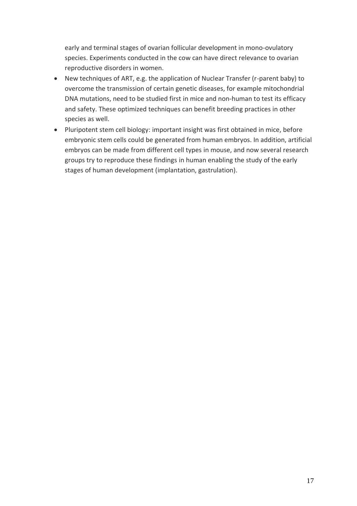early and terminal stages of ovarian follicular development in mono-ovulatory species. Experiments conducted in the cow can have direct relevance to ovarian reproductive disorders in women.

- New techniques of ART, e.g. the application of Nuclear Transfer (r-parent baby) to overcome the transmission of certain genetic diseases, for example mitochondrial DNA mutations, need to be studied first in mice and non-human to test its efficacy and safety. These optimized techniques can benefit breeding practices in other species as well.
- Pluripotent stem cell biology: important insight was first obtained in mice, before embryonic stem cells could be generated from human embryos. In addition, artificial embryos can be made from different cell types in mouse, and now several research groups try to reproduce these findings in human enabling the study of the early stages of human development (implantation, gastrulation).